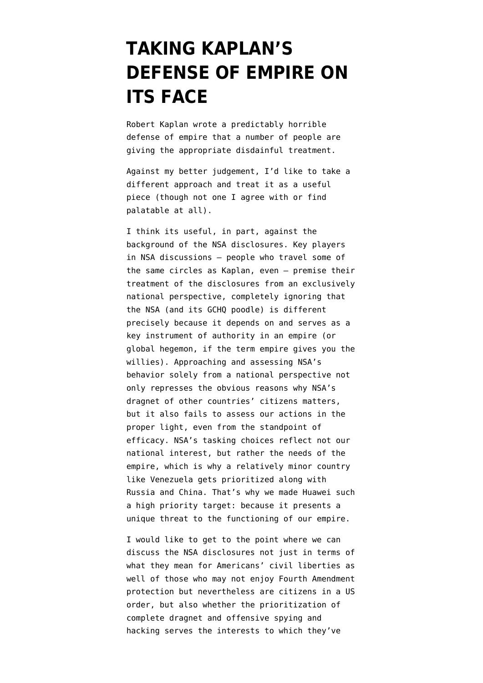## **[TAKING KAPLAN'S](https://www.emptywheel.net/2014/03/23/taking-kagans-defense-of-empire-on-its-face/) [DEFENSE OF EMPIRE ON](https://www.emptywheel.net/2014/03/23/taking-kagans-defense-of-empire-on-its-face/) [ITS FACE](https://www.emptywheel.net/2014/03/23/taking-kagans-defense-of-empire-on-its-face/)**

Robert Kaplan wrote a [predictably horrible](http://www.theatlantic.com/magazine/archive/2014/04/in-defense-of-empire/358645/) [defense of empire](http://www.theatlantic.com/magazine/archive/2014/04/in-defense-of-empire/358645/) that a number of people are [giving the appropriate disdainful treatment](http://www.moonofalabama.org/2014/03/neocon-robert-kagan-is-writing-in-defense-of-empire-empire-is-good-even-for-those-who-a-ruled-by-it-without-having-any-repr.html).

Against my better judgement, I'd like to take a different approach and treat it as a useful piece (though not one I agree with or find palatable at all).

I think its useful, in part, against the background of the NSA disclosures. [Key players](http://www.lawfareblog.com/2014/03/a-very-brief-reply-to-glenn-greenwald/) [in NSA discussions](http://www.lawfareblog.com/2014/03/a-very-brief-reply-to-glenn-greenwald/) — people who travel some of the same circles as Kaplan, even — premise their treatment of the disclosures from an exclusively national perspective, completely ignoring that the NSA (and its GCHQ poodle) is different precisely because it depends on and serves as a key instrument of authority in an empire (or global hegemon, if the term empire gives you the willies). Approaching and assessing NSA's behavior solely from a national perspective not only represses the obvious reasons why NSA's dragnet of other countries' citizens matters, but it also fails to assess our actions in the proper light, [even from the standpoint of](http://www.emptywheel.net/2013/11/12/the-opportunity-cost-of-the-global-dragnet/) [efficacy.](http://www.emptywheel.net/2013/11/12/the-opportunity-cost-of-the-global-dragnet/) NSA's tasking choices reflect not our national interest, but rather the needs of the empire, which is why a relatively minor country like Venezuela gets prioritized along with Russia and China. That's [why we made Huawei](http://www.emptywheel.net/2014/03/22/how-the-nsa-deals-with-a-threat-to-its-backbone-hegemony/) such a high priority target: because it presents a unique threat to the functioning of our empire.

I would like to get to the point where we can discuss the NSA disclosures not just in terms of what they mean for Americans' civil liberties as well of those who may not enjoy Fourth Amendment protection but nevertheless are citizens in a US order, but also whether the prioritization of complete dragnet and offensive spying and hacking serves the interests to which they've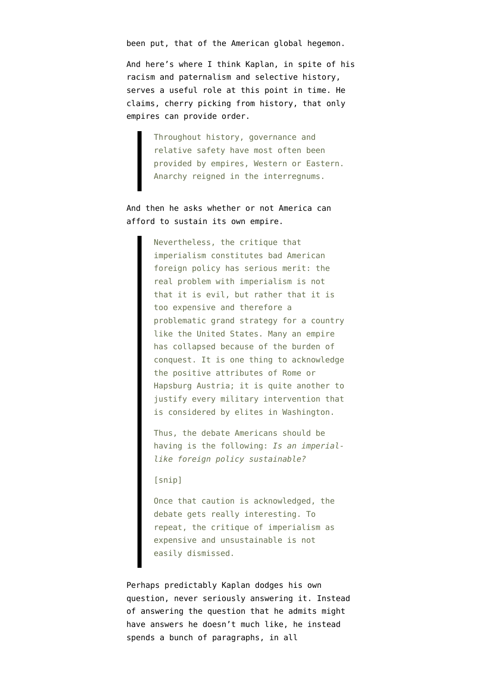been put, that of the American global hegemon.

And here's where I think Kaplan, in spite of his racism and paternalism and selective history, serves a useful role at this point in time. He claims, cherry picking from history, that only empires can provide order.

> Throughout history, governance and relative safety have most often been provided by empires, Western or Eastern. Anarchy reigned in the interregnums.

And then he asks whether or not America can afford to sustain its own empire.

> Nevertheless, the critique that imperialism constitutes bad American foreign policy has serious merit: the real problem with imperialism is not that it is evil, but rather that it is too expensive and therefore a problematic grand strategy for a country like the United States. Many an empire has collapsed because of the burden of conquest. It is one thing to acknowledge the positive attributes of Rome or Hapsburg Austria; it is quite another to justify every military intervention that is considered by elites in Washington.

> Thus, the debate Americans should be having is the following: *Is an imperiallike foreign policy sustainable?*

## [snip]

Once that caution is acknowledged, the debate gets really interesting. To repeat, the critique of imperialism as expensive and unsustainable is not easily dismissed.

Perhaps predictably Kaplan dodges his own question, never seriously answering it. Instead of answering the question that he admits might have answers he doesn't much like, he instead spends a bunch of paragraphs, in all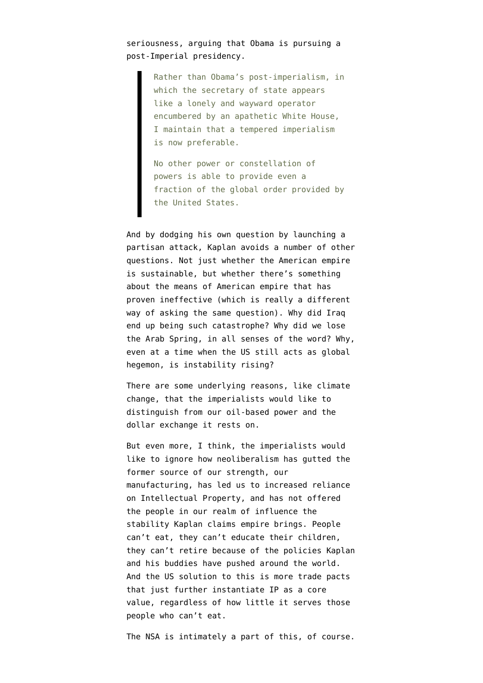seriousness, arguing that Obama is pursuing a post-Imperial presidency.

> Rather than Obama's post-imperialism, in which the secretary of state appears like a lonely and wayward operator encumbered by an apathetic White House, I maintain that a tempered imperialism is now preferable.

> No other power or constellation of powers is able to provide even a fraction of the global order provided by the United States.

And by dodging his own question by launching a partisan attack, Kaplan avoids a number of other questions. Not just whether the American empire is sustainable, but whether there's something about the means of American empire that has proven ineffective (which is really a different way of asking the same question). Why did Iraq end up being such catastrophe? Why did we lose the Arab Spring, in all senses of the word? Why, even at a time when the US still acts as global hegemon, is instability rising?

There are some underlying reasons, like climate change, that the imperialists would like to distinguish from our oil-based power and the dollar exchange it rests on.

But even more, I think, the imperialists would like to ignore how neoliberalism has gutted the former source of our strength, our manufacturing, has led us to increased reliance on Intellectual Property, and has not offered the people in our realm of influence the stability Kaplan claims empire brings. People can't eat, they can't educate their children, they can't retire because of the policies Kaplan and his buddies have pushed around the world. And the US solution to this is more trade pacts that just further instantiate IP as a core value, regardless of how little it serves those people who can't eat.

The NSA is intimately a part of this, of course.